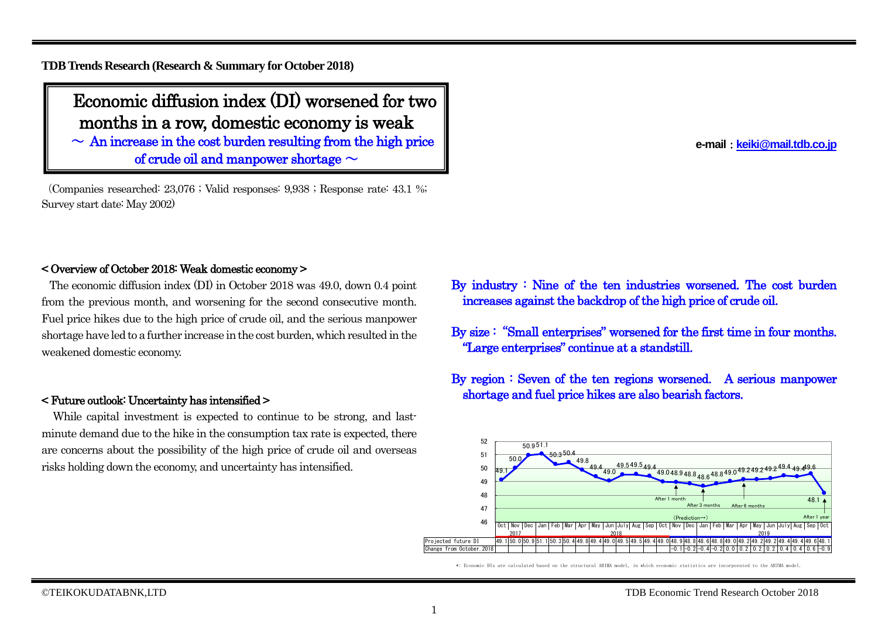**TDB Trends Research (Research & Summary for October 2018)** 

Economic diffusion index (DI) worsened for two months in a row, domestic economy is weak  $\sim$  An increase in the cost burden resulting from the high price

of crude oil and manpower shortage  $\sim$ 

(Companies researched: 23,076 ; Valid responses: 9,938 ; Response rate: 43.1 %; Survey start date: May 2002) Ϊ

## **e-mail**:**[keiki@mail.tdb.co.jp](mailto:keiki@mail.tdb.co.jp)**

#### < Overview of October 2018: Weak domestic economy >

The economic diffusion index (DI) in October 2018 was 49.0, down 0.4 point from the previous month, and worsening for the second consecutive month. Fuel price hikes due to the high price of crude oil, and the serious manpower shortage have led to a further increase inthe cost burden, which resulted in the weakened domestic economy.

#### < Future outlook: Uncertainty has intensified >

While capital investment is expected to continue to be strong, and lastminute demand due to the hike in the consumption tax rate is expected, there are concerns about the possibility of the high price of crude oil and overseas risks holding down the economy, and uncertainty has intensified.

By industry : Nine of the ten industries worsened. The cost burden increases against the backdrop of the high price of crude oil.

By size :"Small enterprises" worsened for the first time in four months. "Large enterprises" continue at a standstill.

By region : Seven of the ten regions worsened. A serious manpower shortage and fuel price hikes are also bearish factors.



\*: Economic DIs are calculated based on the structural ARIMA model, in which economic statistics are incorporated to the ARIMA model.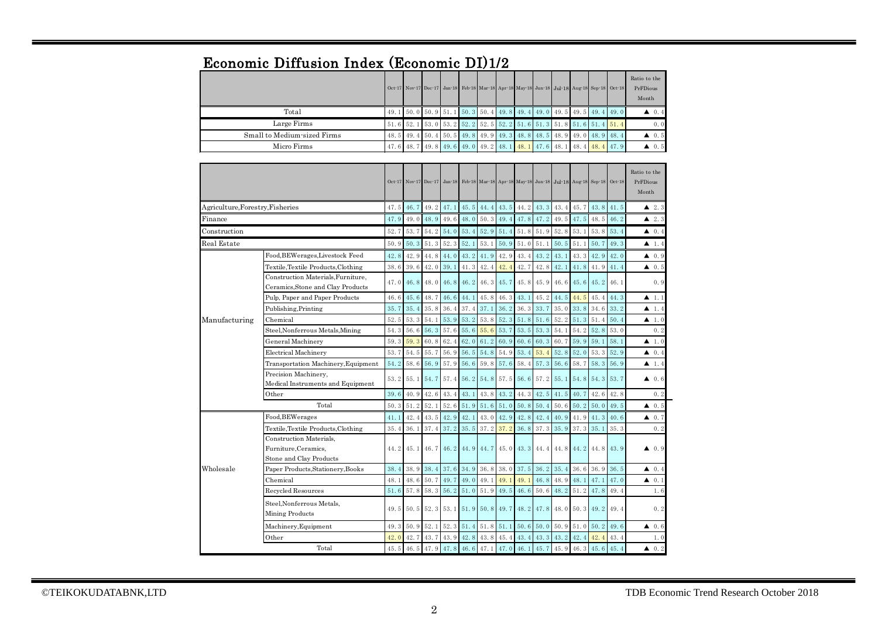|                                  | всопонне Dimusion Index (всопонне DI/1/2                  |      |                      |           |          |           |      |                                                                              |      |      |      |      |                  |               |                                   |
|----------------------------------|-----------------------------------------------------------|------|----------------------|-----------|----------|-----------|------|------------------------------------------------------------------------------|------|------|------|------|------------------|---------------|-----------------------------------|
|                                  |                                                           |      |                      |           |          |           |      | Oct 17 Nov 17 Dec 17 Jan 18 Feb 18 Mar 18 Apr 18 May 18 Jun 18 Jul 18 Aug 18 |      |      |      |      |                  | Sep-18 Oct-18 | Ratio to the<br>PrFDious<br>Month |
|                                  | Total                                                     | 49.1 | 50.0                 | 50.9      | 51.1     | 50.3      | 50.4 | 49.8                                                                         | 49.4 | 49.0 | 49.5 | 49.5 | 49.4             | 49.0          | $\triangle$ 0.4                   |
|                                  | Large Firms                                               | 51.6 | 52.1                 | 53.0      | 53.2     | 52.2      | 52.5 | 52.2                                                                         | 51.6 | 51.3 | 51.8 | 51.6 | 51.4             | 51.4          | 0.0                               |
|                                  | Small to Medium-sized Firms                               | 48.5 | 49.4                 | 50.4      | 50.5     | 49.8      | 49.9 | 49.3                                                                         | 48.8 | 48.5 | 48.9 | 49.0 | 48.9             | 48.4          | ▲<br>0.5                          |
|                                  | Micro Firms                                               | 47.6 | 48.7                 | 49.8      | 49.6     | 49.0      | 49.2 | 48.1                                                                         | 48.1 | 47.6 | 48.1 | 48.4 | 48.4             | 47.9          | 40.5                              |
|                                  |                                                           |      |                      |           |          |           |      |                                                                              |      |      |      |      |                  |               |                                   |
|                                  |                                                           |      | Oct-17 Nov-17 Dec-17 |           | $Jan-18$ |           |      | Feb 18 Mar 18 Apr 18 May 18 Jun 18 Jul 18 Aug 18                             |      |      |      |      |                  | Sep-18 Oct-18 | Ratio to the<br>PrFDious<br>Month |
| Agriculture, Forestry, Fisheries |                                                           | 47.5 | 46.7                 | 49.2      | 47.1     | 45.5      | 44.4 | 43.5                                                                         | 44.2 | 43.3 | 43.4 | 45.7 | 43.8             | 41.5          | $\blacktriangle$ 2.3              |
| Finance                          |                                                           | 47.9 | 49.0                 | 48.9      | 49.6     | 48.0      | 50.3 | 49.4                                                                         | 47.8 | 47.2 | 49.5 | 47.5 | 48.5             | 46.2          | $\blacktriangle$ 2.3              |
| Construction                     |                                                           | 52.7 | 53.7                 | 54.2      | 54.0     | 53.4      | 52.9 | 51.4                                                                         | 51.8 | 51.9 | 52.8 | 53.1 | 53.8             | 53.4          | 40.4                              |
| Real Estate                      |                                                           | 50.9 | 50.3                 | 51.3      | 52.3     | 52.1      | 53.1 | 50.9                                                                         | 51.0 | 51.1 | 50.5 | 51.1 | 50.7             | 49.3          | 1.4                               |
|                                  | Food, BEWerages, Livestock Feed                           | 42.8 | 42.9                 | 44.8      | 44.0     | 43.2      | 41.9 | 42.9                                                                         | 43.4 | 43.2 | 43.1 | 43.3 | 42.9             | 42.0          | $\triangle$ 0.9                   |
|                                  | Textile, Textile Products, Clothing                       | 38.6 | 39.6                 | 42.0      | 39.1     | 41.3      | 42.4 | 42.4                                                                         | 42.7 | 42.8 | 42.1 | 41.8 | 41.9             | 41.4          | 40.5                              |
|                                  | Construction Materials, Furniture,                        |      |                      |           |          |           |      |                                                                              |      |      |      |      |                  |               |                                   |
|                                  | Ceramics, Stone and Clay Products                         | 47.0 | 46.8                 | 48.0      | 46.8     | 46.2      | 46.3 | 45.7                                                                         | 45.8 | 45.9 | 46.6 | 45.6 | 45.2             | 46.1          | 0.9                               |
|                                  | Pulp, Paper and Paper Products                            | 46.6 | 45.6                 | 48.7      | 46.6     | 44.1      | 45.8 | 46.3                                                                         | 43.1 | 45.2 | 44.5 | 44.5 | 45.4             | 44.3          | $\blacktriangle$ 1.1              |
|                                  | Publishing, Printing                                      | 35.7 | 35.4                 | 35.8      | 36.4     | 37.4      | 37.1 | 36.2                                                                         | 36.3 | 33.7 | 35.0 | 33.8 | 34.6             | 33.2          | 1.4                               |
| Manufacturing                    | Chemical                                                  | 52.5 | 53.3                 | 54.1      | 53.9     | 53.2      | 53.8 | 52.3                                                                         | 51.8 | 51.6 | 52.2 | 51.3 | 51.4             | 50.4          | $\blacktriangle$ 1.0              |
|                                  | Steel, Nonferrous Metals, Mining                          | 54.3 | 56.6                 | 56.3      | 57.6     | 55.6      | 55.6 | 53.7                                                                         | 53.5 | 53.3 | 54.1 | 54.2 | 52.8             | 53.0          | 0.2                               |
|                                  | General Machinery                                         | 59.3 | 59.3                 | 60.8      | 62.4     | 62.0      | 61.2 | 60.9                                                                         | 60.6 | 60.3 | 60.7 | 59.9 | 59.1             | 58.1          | $\blacktriangle$ 1.0              |
|                                  | <b>Electrical Machinery</b>                               | 53.7 | 54.5                 | 55.7      | 56.9     | 56.5      | 54.8 | 54.9                                                                         | 53.4 | 53.4 | 52.8 | 52.0 | 53.3             | 52.9          | 40.4                              |
|                                  | Transportation Machinery, Equipment                       | 54.2 | 58.6                 | 56.9      | 57.9     | 56.6      | 59.8 | 57.6                                                                         | 58.4 | 57.3 | 56.6 | 58.7 | 58.3             | 56.9          | 1.4<br>▲                          |
|                                  | Precision Machinery,<br>Medical Instruments and Equipment | 53.2 | 55.1                 | 54.7      | 57.4     | 56.2      | 54.8 | 57.5                                                                         | 56.6 | 57.2 | 55.1 | 54.8 | 54.3             | 53.7          | $\triangle$ 0.6                   |
|                                  | $_{\rm Other}$                                            | 39.6 | 40.9                 | 42.6      | 43.4     | 43.1      | 43.8 | 43.2                                                                         | 44.3 | 42.5 | 41.5 | 40.7 | 42.6             | 42.8          | 0.2                               |
|                                  | Total                                                     | 50.3 | 51.2                 | 52.1      | 52.6     | 51.9      | 51.6 | 51.0                                                                         | 50.8 | 50.4 | 50.6 | 50.2 | 50.0             | 49.5          | 0.5<br>▲                          |
|                                  | Food, BEWerages                                           | 41.1 | 42.4                 | 43.5      | 42.9     | 42.1      | 43.0 | 42.9                                                                         | 42.8 | 42.4 | 40.9 | 41.9 | 41.3             | 40.6          | 0.7<br>▲                          |
|                                  | Textile, Textile Products, Clothing                       | 35.4 | 36.1                 | 37.4      | 37.2     | 35.5      | 37.2 | 37.2                                                                         | 36.8 | 37.3 | 35.9 | 37.3 | 35.1             | 35.3          | 0.2                               |
|                                  | Construction Materials,                                   |      |                      |           |          |           |      |                                                                              |      |      |      |      |                  |               |                                   |
|                                  | Furniture, Ceramics,                                      | 44.2 | 45.1                 | 46.7      |          | 46.2 44.9 | 44.7 | 45.0                                                                         | 43.3 | 44.4 | 44.8 | 44.2 | 44.8             | 43.9          | $\triangle$ 0.9                   |
|                                  | Stone and Clay Products                                   |      |                      |           |          |           |      |                                                                              |      |      |      |      |                  |               |                                   |
| Wholesale                        | Paper Products, Stationery, Books                         | 38.4 | 38.9                 | 38.4      | 37.6     | 34.9      | 36.8 | 38.0                                                                         | 37.5 | 36.2 | 35.4 | 36.6 | 36.9             | 36.5          | 40.4                              |
|                                  | Chemical                                                  | 48.1 | 48.6                 | 50.7      | 49.7     | 49.0      | 49.1 | 49.1                                                                         | 49.1 | 46.8 | 48.9 | 48.1 | 47.1             | 47.0          | 0.1<br>▲                          |
|                                  | Recycled Resources                                        | 51.6 | 57.8                 | 58.3      | 56.2     | 51.0      | 51.9 | 49.5                                                                         | 46.6 | 50.6 | 48.2 | 51.2 | 47.8             | 49.4          | 1.6                               |
|                                  | Steel, Nonferrous Metals,<br>Mining Products              | 49.5 |                      | 50.5 52.3 | 53.1     | 51.9      | 50.8 | 49.7                                                                         | 48.2 | 47.8 | 48.0 | 50.3 |                  | 49.2 49.4     | 0.2                               |
|                                  | Machinery, Equipment                                      | 49.3 | 50.9                 | 52.1      | 52.3     | 51.4      | 51.8 | 51.1                                                                         | 50.6 | 50.0 | 50.9 | 51.0 | 50.2             | 49.6          | 0.6<br>▲                          |
|                                  | Other                                                     | 42.0 | 42.7                 | 43.7      | 43.9     | 42.8      | 43.8 | 45.4                                                                         | 43.4 | 43.3 | 43.2 | 42.4 | 42.4             | 43.4          | 1.0                               |
|                                  | Total                                                     |      | 45.5 46.5 47.9       |           | 47.8     | 46.6      | 47.1 | 47.0                                                                         | 46.1 | 45.7 | 45.9 |      | $46.3$ 45.6 45.4 |               | 0.2<br>▲                          |

## Economic Diffusion Index (Economic DI)1/2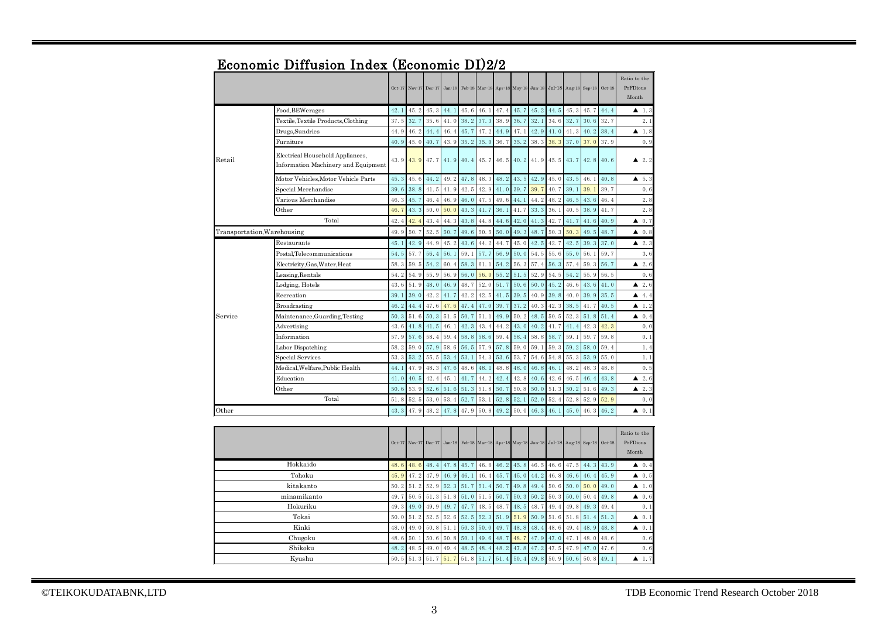|                             |                                                                         | $Oct-17$     |                             | Nov $-17$ Dec $-17$ | $Jan-18$ |      | Feb $18\,$ Mar $18\,$ Apr $18\,$ May $18\,$ Jun $18\,$ Jul $18\,$ |      |      |      |                          | Aug 18 | $Sep-18$ | $Oct-18$ | Ratio to the<br>PrFDious<br>Month |
|-----------------------------|-------------------------------------------------------------------------|--------------|-----------------------------|---------------------|----------|------|-------------------------------------------------------------------|------|------|------|--------------------------|--------|----------|----------|-----------------------------------|
|                             | Food, BEWerages                                                         | 42.1         | 45.2                        | 45.3                | 44.1     | 45.6 | 46.1                                                              | 47.4 | 45.7 | 45.2 | 44.5                     | 45.3   | 45.7     | 44.4     | 1.3<br>▲                          |
|                             | Textile, Textile Products, Clothing                                     | 37.5         | 32.7                        | 35.6                | 41.0     | 38.2 | 37.3                                                              | 38.9 | 36.7 | 32.1 | 34.6                     | 32.7   | 30.6     | 32.7     | 2.1                               |
|                             | Drugs,Sundries                                                          | 44.9         | 46.2                        | 44.4                | 46.4     | 45.7 | 47.2                                                              | 44.9 | 47.1 | 42.9 | 41.0                     | 41.3   | 40.2     | 38.4     | 1.8<br>▲                          |
|                             | Furniture                                                               | 40.9         | 45.0                        | 40.7                | 43.9     | 35.2 | 35.0                                                              | 36.7 | 35.2 | 38.3 | 38.3                     | 37.0   | 37.0     | 37.9     | 0.9                               |
| Retail                      | Electrical Household Appliances,<br>Information Machinery and Equipment | 43.9         | 43.9                        | 47.7                | 41.9     | 40.4 | 45.7                                                              | 46.5 | 40.2 | 41.9 | 45.5                     | 43.7   | 42.8     | 40.6     | 2.2<br>▲                          |
|                             | Motor Vehicles, Motor Vehicle Parts                                     | 45.3         | 45.6                        | 44.2                | 49.2     | 47.8 | 48.3                                                              | 48.2 | 43.5 | 42.9 | 45.0                     | 43.5   | 46.1     | 40.8     | 5.3<br>▲                          |
|                             | Special Merchandise                                                     | 39.6         | 38.8                        | 41.5                | 41.9     | 42.5 | 42.9                                                              | 41.0 | 39.7 | 39.7 | 40.7                     | 39.1   | 39.1     | 39.7     | 0.6                               |
|                             | Various Merchandise                                                     | 46.3         | 45.7                        | 46.4                | 46.9     | 46.0 | 47.5                                                              | 49.6 | 44.1 | 44.2 | 48.2                     | 46.5   | 43.6     | 46.4     | 2.8                               |
|                             | Other                                                                   | 46.7         | 43.3                        | 50.0                | 50.0     | 43.3 | 41.7                                                              | 36.1 | 41.7 | 33.3 | 36.1                     | 40.5   | 38.9     | 41.7     | 2.8                               |
|                             | Total                                                                   | 42.4         | 42.4                        | 43.4                | 44.3     | 43.8 | 44.8                                                              | 44.6 | 42.0 | 41.3 | 42.7                     | 41.7   | 41.6     | 40.9     | 0.7<br>▲                          |
| Transportation, Warehousing |                                                                         | 49.9         | 50.7                        | 52.5                | 50.7     | 49.6 | 50.5                                                              | 50.0 | 49.3 | 48.7 | 50.3                     | 50.3   | 49.5     | 48.7     | 0.8<br>▲                          |
|                             | Restaurants                                                             | 45.1         | 42.9                        | 44.9                | 45.2     | 43.6 | 44.2                                                              | 44.7 | 45.0 | 42.5 | 42.7                     | 42.5   | 39.3     | 37.0     | 2.3<br>▲                          |
|                             | Postal,Telecommunications                                               | 54.5         | 57.7                        | 56.4                | 56.1     | 59.1 | 57.7                                                              | 56.9 | 50.0 | 54.5 | 55.6                     | 55.0   | 56.1     | 59.7     | 3.6                               |
|                             | Electricity, Gas, Water, Heat                                           | 58.3         | 59.5                        | 54.2                | 60.4     | 58.3 | 61.1                                                              | 54.2 | 56.3 | 57.4 | 56.3                     | 57.4   | 59.3     | 56.7     | 2.6<br>▲                          |
|                             | Leasing, Rentals                                                        | 54.2         | 54.9                        | 55.9                | 56.9     | 56.0 | 56.0                                                              | 55.2 | 51.5 | 52.9 | 54.5                     | 54.2   | 55.9     | 56.5     | 0.6                               |
|                             | Lodging, Hotels                                                         | 43.6         | 51.9                        | 48.0                | 46.9     | 48.7 | 52.0                                                              | 51.7 | 50.6 | 50.0 | 45.2                     | 46.6   | 43.6     | 41.0     | 2.6<br>▲                          |
|                             | Recreation                                                              | 39.1         | 39.0                        | 42.2                | 41.7     | 42.2 | 42.5                                                              | 41.5 | 39.5 | 40.9 | 39.8                     | 40.0   | 39.9     | 35.5     | 4.4<br>▲                          |
|                             | Broadcasting                                                            | 46.2         | 44.4                        | 47.6                | 47.6     | 47.4 | 47.0                                                              | 39.7 | 37.2 | 40.3 | 42.3                     | 38.5   | 41.7     | 40.5     | 1.2<br>▲                          |
| Service                     | Maintenance, Guarding, Testing                                          | 50.3         | 51.6                        | 50.3                | 51.5     | 50.7 | 51.1                                                              | 49.9 | 50.2 | 48.5 | 50.5                     | 52.3   | 51.8     | 51.4     | 0.4<br>▲                          |
|                             | Advertising                                                             | 43.6         | 41.8                        | 41.5                | 46.1     | 42.3 | 43.4                                                              | 44.2 | 43.0 | 40.2 | 41.7                     | 41.4   | 42.3     | 42.3     | 0.0                               |
|                             | Information                                                             | 57.9         | 57.6                        | 58.4                | 59.4     | 58.8 | 58.6                                                              | 59.4 | 58.4 | 58.8 | 58.7                     | 59.1   | 59.7     | 59.8     | 0.1                               |
|                             | Labor Dispatching                                                       | 58.2         | 59.0                        | 57.9                | 58.6     | 56.5 | 57.9                                                              | 57.8 | 59.0 | 59.1 | 59.3                     | 59.2   | 58.0     | 59.4     | 1.4                               |
|                             | Special Services                                                        | 53.3         | 53.2                        | 55.5                | 53.4     | 53.1 | 54.3                                                              | 53.6 | 53.7 | 54.6 | 54.8                     | 55.3   | 53.9     | 55.0     | 1.1                               |
|                             | Medical,Welfare,Public Health                                           | 44.1         | 47.9                        | 48.3                | 47.6     | 48.6 | 48.1                                                              | 48.8 | 48.0 | 46.8 | 46.1                     | 48.2   | 48.3     | 48.8     | 0.5                               |
|                             | Education                                                               | 41.0         | 40.5                        | 42.4                | 45.1     | 41.7 | 44.2                                                              | 42.4 | 42.8 | 40.6 | 42.6                     | 46.5   | 46.4     | 43.8     | 2.6<br>▲                          |
|                             | Other                                                                   | 50.6         | 53.9                        | 52.6                | 51.6     | 51.3 | 51.8                                                              | 50.7 | 50.8 | 50.0 | 51.3                     | 50.2   | 51.6     | 49.3     | 2.3<br>▲                          |
|                             | Total                                                                   | 51.8         | 52.5                        | 53.0                | 53.4     | 52.7 | 53.1                                                              | 52.8 | 52.1 | 52.0 | 52.4                     | 52.8   | 52.9     | 52.9     | 0.0                               |
| Other                       |                                                                         | 43.3         | 47.9                        | 48.2                | 47.8     | 47.9 | 50.8                                                              | 49.2 | 50.0 | 46.3 | 46.1                     | 45.0   | 46.3     | 46.2     | 0.1<br>▲                          |
|                             |                                                                         |              | Oct 17 Nov 17 Dec 17 Jan 18 |                     |          |      | Feb 18 Mar 18 Apr 18 May 18 Jun 18                                |      |      |      | $\mathrm{Jul}\text{-}18$ | Aug-18 | $Sep-18$ | $Oct-18$ | Ratio to the<br>PrFDious<br>Month |
| Hokkaido                    |                                                                         | 48.6         | 48.6                        | 48.4                | 47.8     | 45.7 | 46.6                                                              | 46.2 | 45.8 | 46.5 | 46.6                     | 47.5   | 44.3     | 43.9     | 0.4<br>▲                          |
| Tohoku                      |                                                                         | 45.9         | 47.2                        | 47.9                | 46.9     | 46.1 | 46.4                                                              | 45.7 | 45.0 | 44.2 | 46.8                     | 46.6   | 46.4     | 45.9     | 0.5<br>▲                          |
| kitakanto                   |                                                                         | 50.2         | 51.2                        | 52.9                | 52.3     | 51.7 | 51.4                                                              | 50.7 | 49.8 | 49.4 | 50.6                     | 50.0   | 50.0     | 49.0     | 1.0<br>▲                          |
| minamikanto                 |                                                                         | 49.7         | 50.5                        | 51.3                | 51.8     | 51.0 | 51.5                                                              | 50.7 | 50.3 | 50.2 | 50.3                     | 50.0   | 50.4     | 49.8     | 0.6<br>▲                          |
| Hokuriku                    |                                                                         | 49.3<br>50.0 | 49.0                        | 49.9                | 49.7     | 47.7 | 48.5                                                              | 48.7 | 48.5 | 48.7 | 49.4                     | 49.8   | 49.3     | 49.4     | 0.1                               |
| Tokai                       |                                                                         |              | 51.2                        | 52.5                | 52.6     | 52.5 | 52.3                                                              | 51.9 | 51.9 | 50.9 | 51.6                     | 51.8   | 51.4     | 51.3     | 0.1<br>▲                          |
| Kinki                       |                                                                         |              | 49.0                        | 50.8                | 51.1     | 50.3 | 50.0                                                              | 49.7 | 48.8 | 48.4 | 48.6                     | 49.4   | 48.9     | 48.8     | 0.1<br>▲                          |
| Chugoku                     |                                                                         |              | 50.1                        | 50.6                | 50.8     | 50.1 | 49.6                                                              | 48.7 | 48.7 | 47.9 | 47.0                     | 47.1   | 48.0     | 48.6     | 0.6                               |
|                             | Shikoku                                                                 | 48.2         | 48.5                        | 49.0                | 49.4     | 48.5 | 48.4                                                              | 48.2 | 47.8 | 47.2 | 47.5                     | 47.9   | 47.0     | 47.6     | 0.6                               |
|                             | Kyushu                                                                  | 50.5         | 51.3                        | 51.7                | 51.7     | 51.8 | 51.7                                                              | 51.4 | 50.4 | 49.8 | 50.9                     | 50.6   | 50.8     | 49.1     | 1.7<br>▴                          |

## Economic Diffusion Index (Economic DI)2/2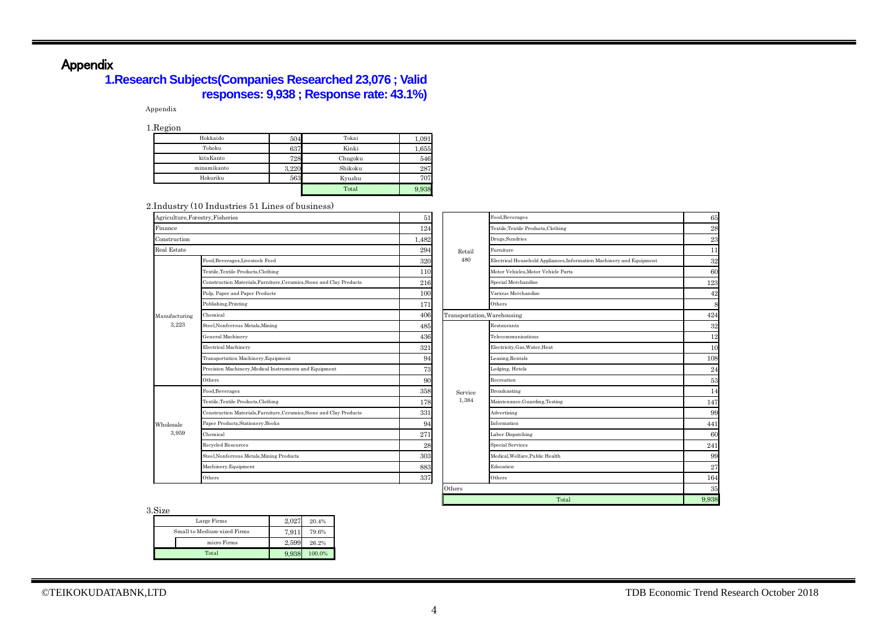# Appendix

## **1.Research Subjects(Companies Researched 23,076 ; Valid responses: 9,938 ; Response rate: 43.1%)**

Appendix

1.Region

| Hokkaido    | 504   | Tokai   | 1,091 |
|-------------|-------|---------|-------|
| Tohoku      | 637   | Kinki   | 1,655 |
| kitaKanto   | 728   | Chugoku | 546   |
| minamikanto | 3,220 | Shikoku | 287   |
| Hokuriku    | 563   | Kyushu  | 707   |
|             |       | Total   | 9,938 |

#### 2.Industry (10 Industries 51 Lines of business)

| Agriculture, Forestry, Fisheries |                                                                      | 51    |                             | Food, Beverages                                                      | 65    |
|----------------------------------|----------------------------------------------------------------------|-------|-----------------------------|----------------------------------------------------------------------|-------|
| Finance                          |                                                                      | 124   |                             | Textile, Textile Products, Clothing                                  | 28    |
| Construction                     |                                                                      | 1,482 |                             | Drugs, Sundries                                                      | 23    |
| Real Estate                      |                                                                      |       | Retail                      | Furniture                                                            | 11    |
|                                  | Food, Beverages, Livestock Feed                                      | 320   | 480                         | Electrical Household Appliances, Information Machinery and Equipment | 32    |
|                                  | Textile, Textile Products, Clothing                                  | 110   |                             | Motor Vehicles, Motor Vehicle Parts                                  | 60    |
|                                  | Construction Materials, Furniture, Ceramics, Stone and Clay Products | 216   |                             | Special Merchandise                                                  | 123   |
|                                  | Pulp, Paper and Paper Products                                       | 100   |                             | Various Merchandise                                                  | 42    |
|                                  | Publishing, Printing                                                 | 171   |                             | Others                                                               | 8     |
| Manufacturing                    | Chemical                                                             | 406   | Transportation, Warehousing |                                                                      | 424   |
| 3,223                            | Steel, Nonferrous Metals, Mining                                     | 485   |                             | Restaurants                                                          | 32    |
|                                  | General Machinery                                                    | 436   |                             | Telecommunications                                                   | 12    |
|                                  | Electrical Machinery                                                 | 321   |                             | Electricity, Gas, Water, Heat                                        | 10    |
|                                  | Transportation Machinery, Equipment                                  | 94    |                             | Leasing, Rentals                                                     | 108   |
|                                  | Precision Machinery, Medical Instruments and Equipment               | 73    |                             | Lodging, Hotels                                                      | 24    |
|                                  | Others                                                               | 90    |                             | Recreation                                                           | 53    |
|                                  | Food, Beverages                                                      | 358   | Service                     | Broadcasting                                                         | 14    |
|                                  | Textile, Textile Products, Clothing                                  | 178   | 1,384                       | Maintenance, Guarding, Testing                                       | 147   |
|                                  | Construction Materials, Furniture, Ceramics, Stone and Clay Products | 331   |                             | Advertising                                                          | 99    |
| Wholesale                        | Paper Products, Stationery, Books                                    | 94    |                             | Information                                                          | 441   |
| 3,959                            | Chemical                                                             | 271   |                             | Labor Dispatching                                                    | 60    |
|                                  | Recycled Resources                                                   | 28    |                             | <b>Special Services</b>                                              | 241   |
|                                  | Steel, Nonferrous Metals, Mining Products                            | 303   |                             | Medical.Welfare.Public Health                                        | 99    |
|                                  | Machinery, Equipment                                                 | 883   |                             | Education                                                            | 27    |
|                                  | Others                                                               | 337   |                             | Others                                                               | 164   |
|                                  |                                                                      |       | Others                      |                                                                      | 35    |
|                                  |                                                                      |       |                             | Total                                                                | 9,938 |

3.Size

| Large Firms                 | 2.027             | 20.4%  |
|-----------------------------|-------------------|--------|
| Small to Medium-sized Firms | 7,91 <sub>1</sub> | 79.6%  |
| micro Firms                 | 2.599             | 26.2%  |
| Total                       | 9.938             | 100.0% |